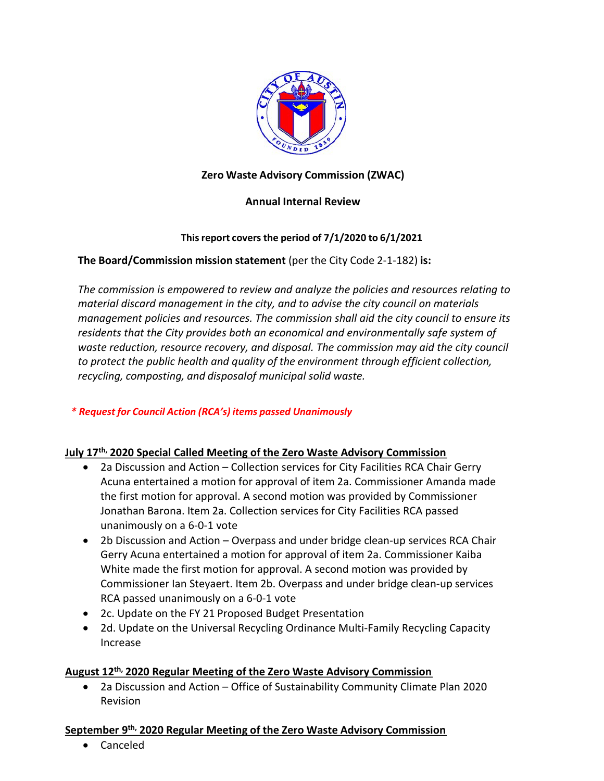

# **Zero Waste Advisory Commission (ZWAC)**

## **Annual Internal Review**

## **Thisreport covers the period of 7/1/2020 to 6/1/2021**

# **The Board/Commission mission statement** (per the City Code 2-1-182) **is:**

*The commission is empowered to review and analyze the policies and resources relating to material discard management in the city, and to advise the city council on materials management policies and resources. The commission shall aid the city council to ensure its residents that the City provides both an economical and environmentally safe system of waste reduction, resource recovery, and disposal. The commission may aid the city council to protect the public health and quality of the environment through efficient collection, recycling, composting, and disposalof municipal solid waste.*

## *\* Request for Council Action (RCA's) items passed Unanimously*

## **July 17th, 2020 Special Called Meeting of the Zero Waste Advisory Commission**

- 2a Discussion and Action Collection services for City Facilities RCA Chair Gerry Acuna entertained a motion for approval of item 2a. Commissioner Amanda made the first motion for approval. A second motion was provided by Commissioner Jonathan Barona. Item 2a. Collection services for City Facilities RCA passed unanimously on a 6-0-1 vote
- 2b Discussion and Action Overpass and under bridge clean-up services RCA Chair Gerry Acuna entertained a motion for approval of item 2a. Commissioner Kaiba White made the first motion for approval. A second motion was provided by Commissioner Ian Steyaert. Item 2b. Overpass and under bridge clean-up services RCA passed unanimously on a 6-0-1 vote
- 2c. Update on the FY 21 Proposed Budget Presentation
- 2d. Update on the Universal Recycling Ordinance Multi-Family Recycling Capacity Increase

## **August 12th, 2020 Regular Meeting of the Zero Waste Advisory Commission**

• 2a Discussion and Action – Office of Sustainability Community Climate Plan 2020 Revision

## **September 9th, 2020 Regular Meeting of the Zero Waste Advisory Commission**

• Canceled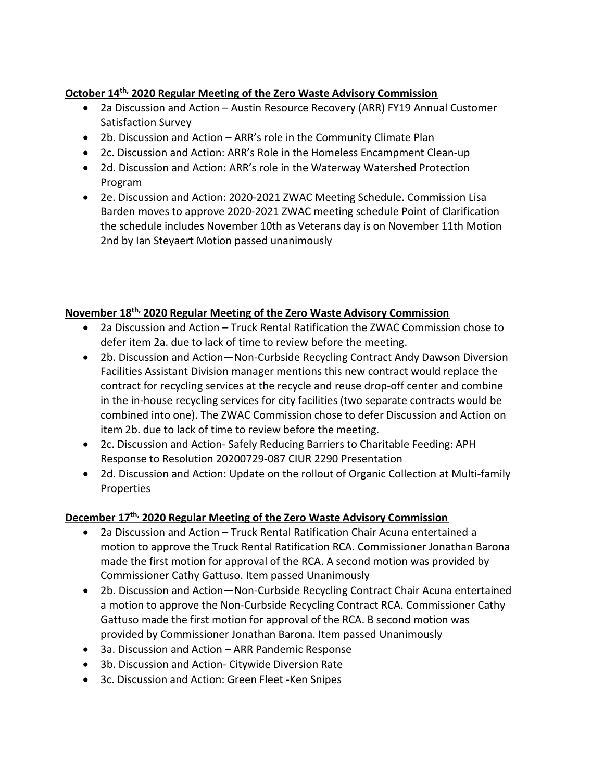# **October 14th, 2020 Regular Meeting of the Zero Waste Advisory Commission**

- 2a Discussion and Action Austin Resource Recovery (ARR) FY19 Annual Customer Satisfaction Survey
- 2b. Discussion and Action ARR's role in the Community Climate Plan
- 2c. Discussion and Action: ARR's Role in the Homeless Encampment Clean-up
- 2d. Discussion and Action: ARR's role in the Waterway Watershed Protection Program
- 2e. Discussion and Action: 2020-2021 ZWAC Meeting Schedule. Commission Lisa Barden moves to approve 2020-2021 ZWAC meeting schedule Point of Clarification the schedule includes November 10th as Veterans day is on November 11th Motion 2nd by Ian Steyaert Motion passed unanimously

# **November 18th, 2020 Regular Meeting of the Zero Waste Advisory Commission**

- 2a Discussion and Action Truck Rental Ratification the ZWAC Commission chose to defer item 2a. due to lack of time to review before the meeting.
- 2b. Discussion and Action—Non-Curbside Recycling Contract Andy Dawson Diversion Facilities Assistant Division manager mentions this new contract would replace the contract for recycling services at the recycle and reuse drop-off center and combine in the in-house recycling services for city facilities (two separate contracts would be combined into one). The ZWAC Commission chose to defer Discussion and Action on item 2b. due to lack of time to review before the meeting.
- 2c. Discussion and Action- Safely Reducing Barriers to Charitable Feeding: APH Response to Resolution 20200729-087 CIUR 2290 Presentation
- 2d. Discussion and Action: Update on the rollout of Organic Collection at Multi-family Properties

# **December 17th, 2020 Regular Meeting of the Zero Waste Advisory Commission**

- 2a Discussion and Action Truck Rental Ratification Chair Acuna entertained a motion to approve the Truck Rental Ratification RCA. Commissioner Jonathan Barona made the first motion for approval of the RCA. A second motion was provided by Commissioner Cathy Gattuso. Item passed Unanimously
- 2b. Discussion and Action—Non-Curbside Recycling Contract Chair Acuna entertained a motion to approve the Non-Curbside Recycling Contract RCA. Commissioner Cathy Gattuso made the first motion for approval of the RCA. B second motion was provided by Commissioner Jonathan Barona. Item passed Unanimously
- 3a. Discussion and Action ARR Pandemic Response
- 3b. Discussion and Action- Citywide Diversion Rate
- 3c. Discussion and Action: Green Fleet -Ken Snipes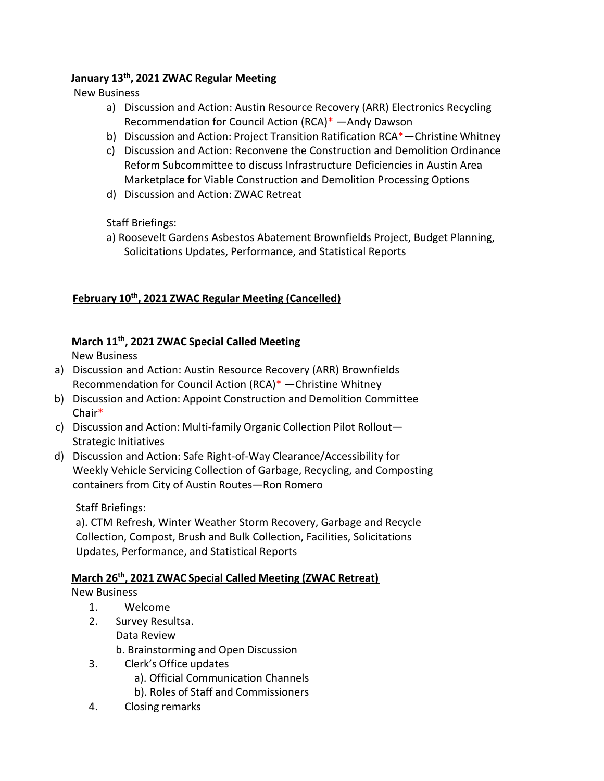## **January 13th, 2021 ZWAC Regular Meeting**

New Business

- a) Discussion and Action: Austin Resource Recovery (ARR) Electronics Recycling Recommendation for Council Action (RCA)\* —Andy Dawson
- b) Discussion and Action: Project Transition Ratification RCA\*—Christine Whitney
- c) Discussion and Action: Reconvene the Construction and Demolition Ordinance Reform Subcommittee to discuss Infrastructure Deficiencies in Austin Area Marketplace for Viable Construction and Demolition Processing Options
- d) Discussion and Action: ZWAC Retreat

Staff Briefings:

a) Roosevelt Gardens Asbestos Abatement Brownfields Project, Budget Planning, Solicitations Updates, Performance, and Statistical Reports

# **February 10th, 2021 ZWAC Regular Meeting (Cancelled)**

# **March 11th, 2021 ZWAC Special Called Meeting**

New Business

- a) Discussion and Action: Austin Resource Recovery (ARR) Brownfields Recommendation for Council Action (RCA)\* —Christine Whitney
- b) Discussion and Action: Appoint Construction and Demolition Committee Chair\*
- c) Discussion and Action: Multi-family Organic Collection Pilot Rollout— Strategic Initiatives
- d) Discussion and Action: Safe Right-of-Way Clearance/Accessibility for Weekly Vehicle Servicing Collection of Garbage, Recycling, and Composting containers from City of Austin Routes—Ron Romero

Staff Briefings:

a). CTM Refresh, Winter Weather Storm Recovery, Garbage and Recycle Collection, Compost, Brush and Bulk Collection, Facilities, Solicitations Updates, Performance, and Statistical Reports

## **March 26th, 2021 ZWAC Special Called Meeting (ZWAC Retreat)**

## New Business

- 1. Welcome
- 2. Survey Resultsa. Data Review

b. Brainstorming and Open Discussion

- 3. Clerk's Office updates
	- a). Official Communication Channels
	- b). Roles of Staff and Commissioners
- 4. Closing remarks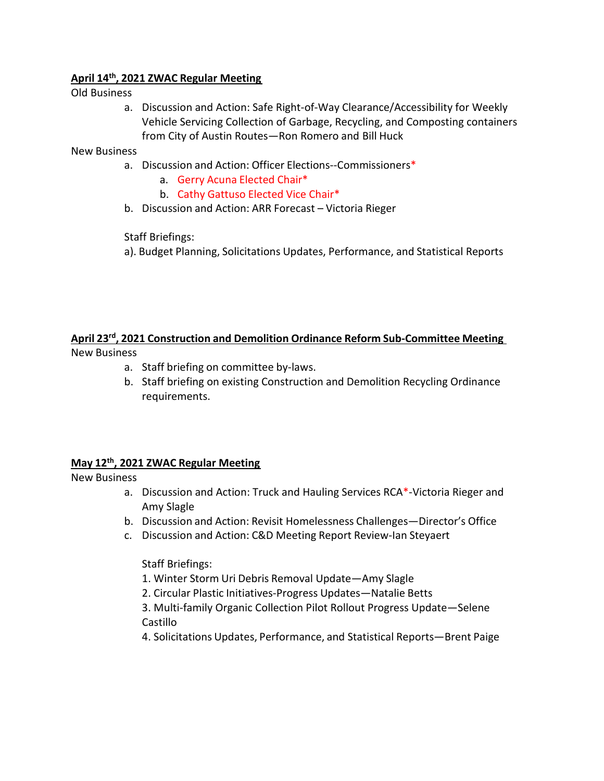#### **April 14th, 2021 ZWAC Regular Meeting**

Old Business

a. Discussion and Action: Safe Right-of-Way Clearance/Accessibility for Weekly Vehicle Servicing Collection of Garbage, Recycling, and Composting containers from City of Austin Routes—Ron Romero and Bill Huck

New Business

- a. Discussion and Action: Officer Elections--Commissioners\*
	- a. Gerry Acuna Elected Chair\*
	- b. Cathy Gattuso Elected Vice Chair\*
- b. Discussion and Action: ARR Forecast Victoria Rieger

Staff Briefings:

a). Budget Planning, Solicitations Updates, Performance, and Statistical Reports

#### **April 23rd, 2021 Construction and Demolition Ordinance Reform Sub-Committee Meeting** New Business

- a. Staff briefing on committee by-laws.
- b. Staff briefing on existing Construction and Demolition Recycling Ordinance requirements.

#### **May 12th, 2021 ZWAC Regular Meeting**

New Business

- a. Discussion and Action: Truck and Hauling Services RCA\*-Victoria Rieger and Amy Slagle
- b. Discussion and Action: Revisit Homelessness Challenges—Director's Office
- c. Discussion and Action: C&D Meeting Report Review-Ian Steyaert

Staff Briefings:

- 1. Winter Storm Uri Debris Removal Update—Amy Slagle
- 2. Circular Plastic Initiatives-Progress Updates—Natalie Betts

3. Multi-family Organic Collection Pilot Rollout Progress Update—Selene Castillo

4. Solicitations Updates, Performance, and Statistical Reports—Brent Paige